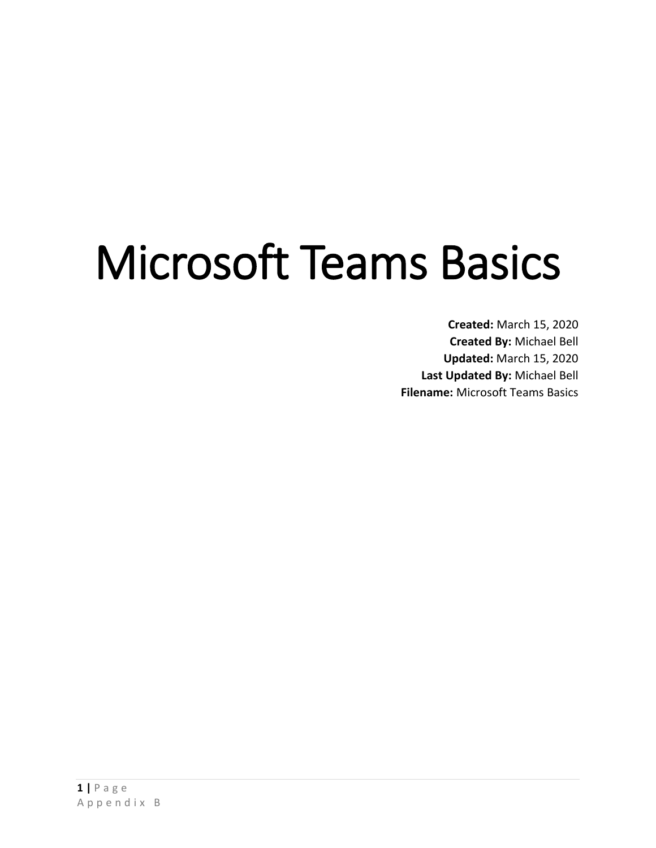# Microsoft Teams Basics

**Created:** March 15, 2020 **Created By:** Michael Bell **Updated:** March 15, 2020 **Last Updated By:** Michael Bell **Filename:** Microsoft Teams Basics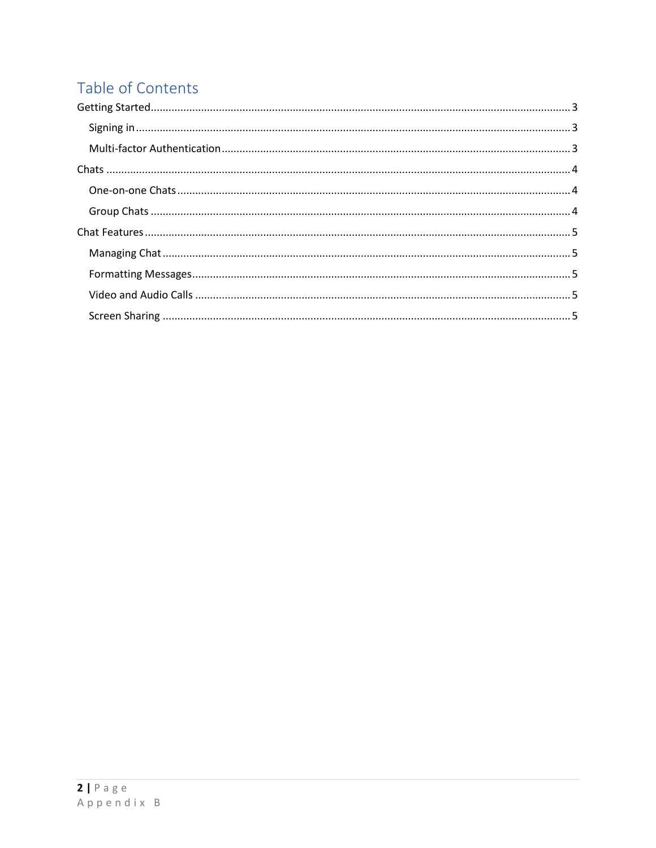# Table of Contents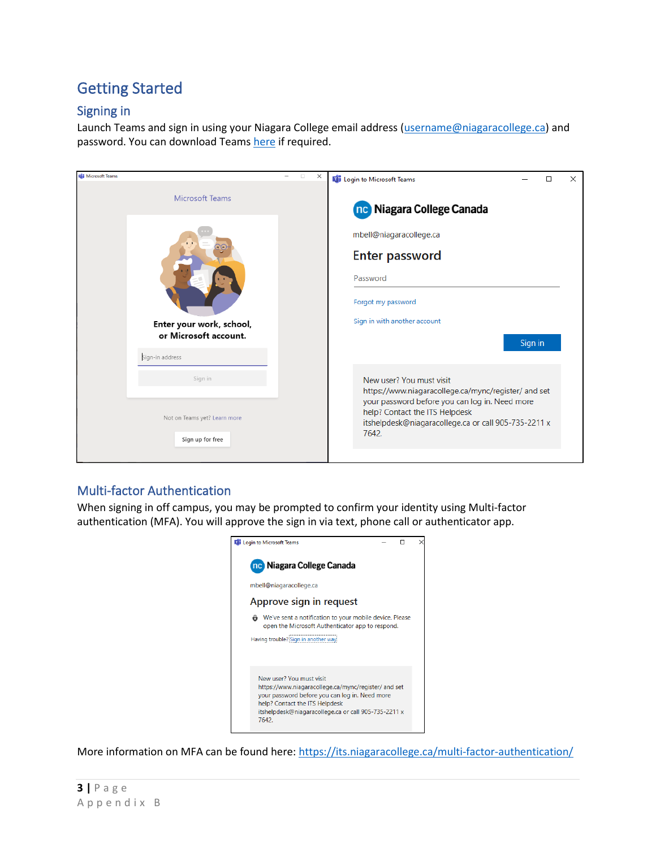# <span id="page-2-0"></span>Getting Started

## <span id="page-2-1"></span>Signing in

Launch Teams and sign in using your Niagara College email address [\(username@niagaracollege.ca\)](mailto:username@niagaracollege.ca) and password. You can download Team[s here](https://teams.microsoft.com/downloads) if required.

| Microsoft Teams |                                                  | $\Box$<br>$\times$ | <b>Di</b> Login to Microsoft Teams<br>□                                                                                                                                                                   | × |  |  |  |  |  |
|-----------------|--------------------------------------------------|--------------------|-----------------------------------------------------------------------------------------------------------------------------------------------------------------------------------------------------------|---|--|--|--|--|--|
|                 | <b>Microsoft Teams</b>                           |                    | nc Niagara College Canada                                                                                                                                                                                 |   |  |  |  |  |  |
|                 |                                                  |                    | mbell@niagaracollege.ca                                                                                                                                                                                   |   |  |  |  |  |  |
|                 |                                                  |                    | <b>Enter password</b>                                                                                                                                                                                     |   |  |  |  |  |  |
|                 |                                                  |                    | Password                                                                                                                                                                                                  |   |  |  |  |  |  |
|                 |                                                  |                    | Forgot my password                                                                                                                                                                                        |   |  |  |  |  |  |
|                 | Enter your work, school,                         |                    | Sign in with another account                                                                                                                                                                              |   |  |  |  |  |  |
|                 | or Microsoft account.                            |                    | Sign in                                                                                                                                                                                                   |   |  |  |  |  |  |
|                 | Sign-in address                                  |                    |                                                                                                                                                                                                           |   |  |  |  |  |  |
|                 | Sign in                                          |                    | New user? You must visit                                                                                                                                                                                  |   |  |  |  |  |  |
|                 | Not on Teams yet? Learn more<br>Sign up for free |                    | https://www.niagaracollege.ca/mync/register/ and set<br>your password before you can log in. Need more<br>help? Contact the ITS Helpdesk<br>itshelpdesk@niagaracollege.ca or call 905-735-2211 x<br>7642. |   |  |  |  |  |  |
|                 |                                                  |                    |                                                                                                                                                                                                           |   |  |  |  |  |  |

## <span id="page-2-2"></span>Multi-factor Authentication

When signing in off campus, you may be prompted to confirm your identity using Multi-factor authentication (MFA). You will approve the sign in via text, phone call or authenticator app.



More information on MFA can be found here:<https://its.niagaracollege.ca/multi-factor-authentication/>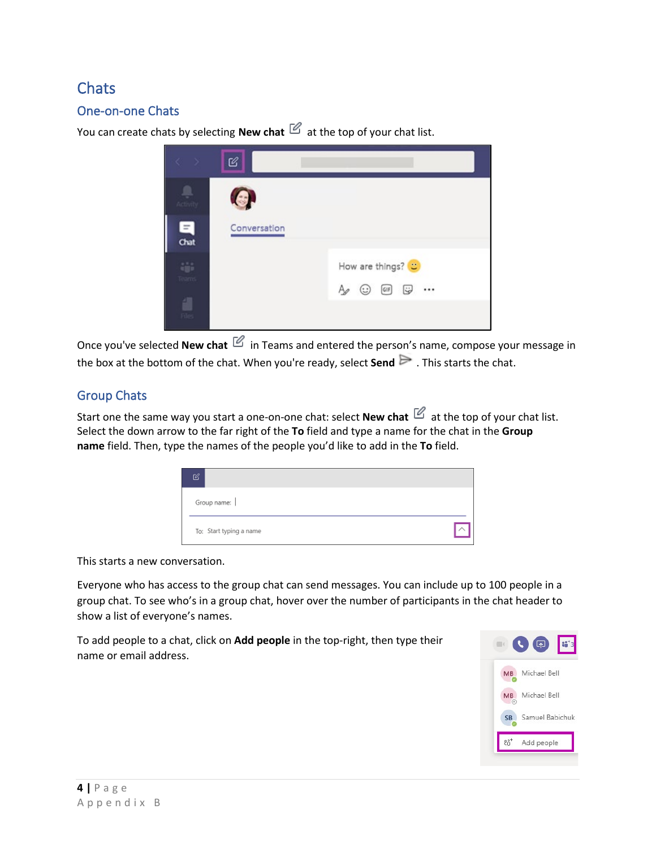# <span id="page-3-0"></span>**Chats**

## <span id="page-3-1"></span>One-on-one Chats

You can create chats by selecting **New chat**  $\mathbb{Z}$  at the top of your chat list.



Once you've selected **New chat**  $\mathbb{E}_{i}$  in Teams and entered the person's name, compose your message in the box at the bottom of the chat. When you're ready, select **Send**  $\triangleright$  . This starts the chat.

## <span id="page-3-2"></span>Group Chats

Start one the same way you start a one-on-one chat: select **New chat**  $\mathbb{E}$  at the top of your chat list. Select the down arrow to the far right of the **To** field and type a name for the chat in the **Group name** field. Then, type the names of the people you'd like to add in the **To** field.

| 72                      |  |
|-------------------------|--|
| Group name:             |  |
| To: Start typing a name |  |

This starts a new conversation.

Everyone who has access to the group chat can send messages. You can include up to 100 people in a group chat. To see who's in a group chat, hover over the number of participants in the chat header to show a list of everyone's names.

To add people to a chat, click on **Add people** in the top-right, then type their name or email address.

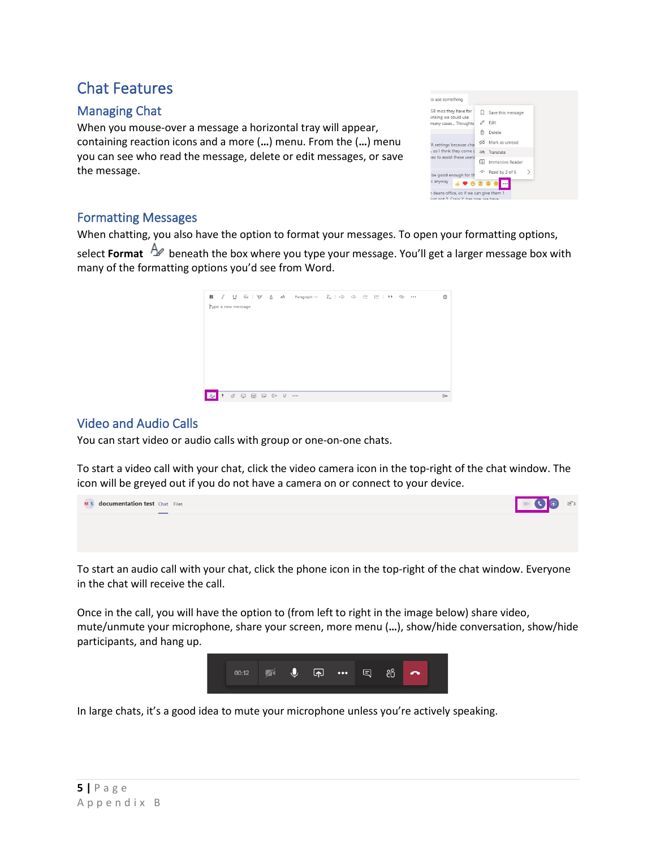# <span id="page-4-0"></span>Chat Features

## <span id="page-4-1"></span>Managing Chat

When you mouse-over a message a horizontal tray will appear, containing reaction icons and a more (**…**) menu. From the (**…**) menu you can see who read the message, delete or edit messages, or save the message.

| SB mics they have for                                                       | Save this message     |
|-----------------------------------------------------------------------------|-----------------------|
| inking we could use                                                         | Edit                  |
|                                                                             | 而<br>Delete           |
|                                                                             | Mark as unread<br>66  |
| . so I think they come c                                                    | Translate<br>at6      |
| many cases Thoughts<br>A settings because chai<br>les to assist these users | Œ<br>Immersive Reader |
| be good enough for th                                                       | Read by 3 of 6<br>ଚ   |
| c anyway                                                                    |                       |

#### <span id="page-4-2"></span>Formatting Messages

When chatting, you also have the option to format your messages. To open your [formatting options,](https://support.office.com/en-us/article/format-a-message-in-teams-9f7c64e4-0316-472f-b1e8-430cebcfc1e5)

select **Format**  $\Delta$  beneath the box where you type your message. You'll get a larger message box with many of the formatting options you'd see from Word.

|                    |                                                                                                                                                       |  | <b>B</b> $I \cup S \mid \forall$ <u>A</u> aA Paragraph $\vee$ $I_x \mid \Leftrightarrow$ $\cdot \equiv$ $\equiv$ $\mid$ $\mid$ $\mid$ $\cdot$ $\mid$ $\cdot$ $\cdot$ |  |  |  | 而 |
|--------------------|-------------------------------------------------------------------------------------------------------------------------------------------------------|--|----------------------------------------------------------------------------------------------------------------------------------------------------------------------|--|--|--|---|
| Type a new message |                                                                                                                                                       |  |                                                                                                                                                                      |  |  |  |   |
|                    |                                                                                                                                                       |  |                                                                                                                                                                      |  |  |  |   |
|                    |                                                                                                                                                       |  |                                                                                                                                                                      |  |  |  |   |
|                    |                                                                                                                                                       |  |                                                                                                                                                                      |  |  |  |   |
|                    |                                                                                                                                                       |  |                                                                                                                                                                      |  |  |  |   |
|                    | $\begin{array}{ccc} \mathcal{C} & \odot & \boxdot \boxdot \boxdot \end{array} \begin{array}{ccc} \mathcal{C} & \mathcal{C} & \mathcal{C} \end{array}$ |  |                                                                                                                                                                      |  |  |  | ⊳ |

#### <span id="page-4-3"></span>Video and Audio Calls

You can start video or audio calls with group or one-on-one chats.

To start a video call with your chat, click the video camera icon in the top-right of the chat window. The icon will be greyed out if you do not have a camera on or connect to your device.



To start an audio call with your chat, click the phone icon in the top-right of the chat window. Everyone in the chat will receive the call.

Once in the call, you will have the option to (from left to right in the image below) share video, mute/unmute your microphone, share your screen, more menu (**…**), show/hide conversation, show/hide participants, and hang up.



<span id="page-4-4"></span>In large chats, it's a good idea to mute your microphone unless you're actively speaking.